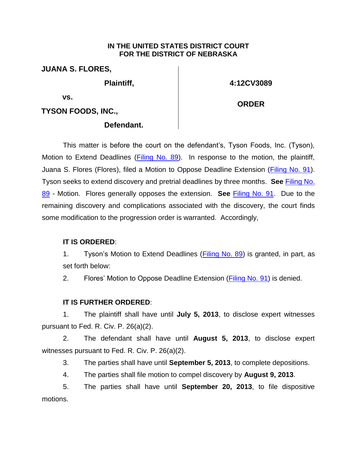## **IN THE UNITED STATES DISTRICT COURT FOR THE DISTRICT OF NEBRASKA**

**JUANA S. FLORES,**

**Plaintiff,** 

**4:12CV3089**

**ORDER**

**vs.** 

**TYSON FOODS, INC.,**

## **Defendant.**

This matter is before the court on the defendant's, Tyson Foods, Inc. (Tyson), Motion to Extend Deadlines [\(Filing No. 89\)](https://ecf.ned.uscourts.gov/doc1/11312777738). In response to the motion, the plaintiff, Juana S. Flores (Flores), filed a Motion to Oppose Deadline Extension (*Filing No. 91*). Tyson seeks to extend discovery and pretrial deadlines by three months. **See** [Filing No.](https://ecf.ned.uscourts.gov/doc1/11312777738) [89](https://ecf.ned.uscourts.gov/doc1/11312777738) - Motion. Flores generally opposes the extension. **See** [Filing No. 91.](https://ecf.ned.uscourts.gov/doc1/11312785216) Due to the remaining discovery and complications associated with the discovery, the court finds some modification to the progression order is warranted. Accordingly,

## **IT IS ORDERED**:

1. Tyson's Motion to Extend Deadlines [\(Filing No. 89\)](https://ecf.ned.uscourts.gov/doc1/11312777738) is granted, in part, as set forth below:

2. Flores' Motion to Oppose Deadline Extension [\(Filing No. 91\)](https://ecf.ned.uscourts.gov/doc1/11312785216) is denied.

## **IT IS FURTHER ORDERED**:

1. The plaintiff shall have until **July 5, 2013**, to disclose expert witnesses pursuant to Fed. R. Civ. P. 26(a)(2).

2. The defendant shall have until **August 5, 2013**, to disclose expert witnesses pursuant to Fed. R. Civ. P. 26(a)(2).

3. The parties shall have until **September 5, 2013**, to complete depositions.

4. The parties shall file motion to compel discovery by **August 9, 2013**.

5. The parties shall have until **September 20, 2013**, to file dispositive motions.